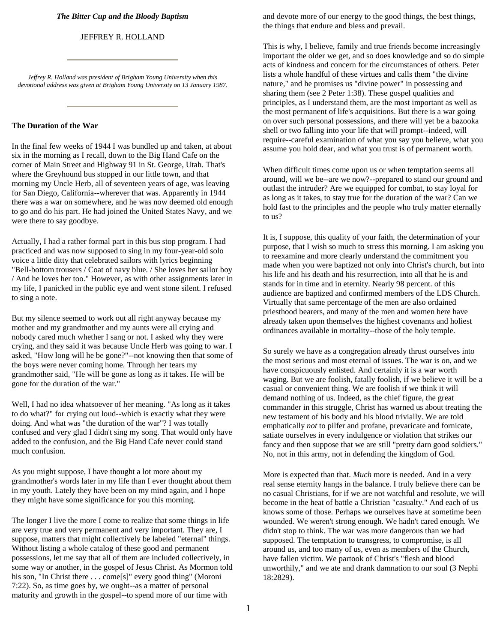#### *The Bitter Cup and the Bloody Baptism*

#### JEFFREY R. HOLLAND

*Jeffrey R. Holland was president of Brigham Young University when this devotional address was given at Brigham Young University on 13 January 1987.*

#### **The Duration of the War**

In the final few weeks of 1944 I was bundled up and taken, at about six in the morning as I recall, down to the Big Hand Cafe on the corner of Main Street and Highway 91 in St. George, Utah. That's where the Greyhound bus stopped in our little town, and that morning my Uncle Herb, all of seventeen years of age, was leaving for San Diego, California--wherever that was. Apparently in 1944 there was a war on somewhere, and he was now deemed old enough to go and do his part. He had joined the United States Navy, and we were there to say goodbye.

Actually, I had a rather formal part in this bus stop program. I had practiced and was now supposed to sing in my four-year-old solo voice a little ditty that celebrated sailors with lyrics beginning "Bell-bottom trousers / Coat of navy blue. / She loves her sailor boy / And he loves her too." However, as with other assignments later in my life, I panicked in the public eye and went stone silent. I refused to sing a note.

But my silence seemed to work out all right anyway because my mother and my grandmother and my aunts were all crying and nobody cared much whether I sang or not. I asked why they were crying, and they said it was because Uncle Herb was going to war. I asked, "How long will he be gone?"--not knowing then that some of the boys were never coming home. Through her tears my grandmother said, "He will be gone as long as it takes. He will be gone for the duration of the war."

Well, I had no idea whatsoever of her meaning. "As long as it takes to do what?" for crying out loud--which is exactly what they were doing. And what was "the duration of the war"? I was totally confused and very glad I didn't sing my song. That would only have added to the confusion, and the Big Hand Cafe never could stand much confusion.

As you might suppose, I have thought a lot more about my grandmother's words later in my life than I ever thought about them in my youth. Lately they have been on my mind again, and I hope they might have some significance for you this morning.

The longer I live the more I come to realize that some things in life are very true and very permanent and very important. They are, I suppose, matters that might collectively be labeled "eternal" things. Without listing a whole catalog of these good and permanent possessions, let me say that all of them are included collectively, in some way or another, in the gospel of Jesus Christ. As Mormon told his son, "In Christ there . . . come[s]" every good thing" (Moroni 7:22). So, as time goes by, we ought--as a matter of personal maturity and growth in the gospel--to spend more of our time with

and devote more of our energy to the good things, the best things, the things that endure and bless and prevail.

This is why, I believe, family and true friends become increasingly important the older we get, and so does knowledge and so do simple acts of kindness and concern for the circumstances of others. Peter lists a whole handful of these virtues and calls them "the divine nature," and he promises us "divine power" in possessing and sharing them (see 2 Peter 1:38). These gospel qualities and principles, as I understand them, are the most important as well as the most permanent of life's acquisitions. But there is a war going on over such personal possessions, and there will yet be a bazooka shell or two falling into your life that will prompt--indeed, will require--careful examination of what you say you believe, what you assume you hold dear, and what you trust is of permanent worth.

When difficult times come upon us or when temptation seems all around, will we be--are we now?--prepared to stand our ground and outlast the intruder? Are we equipped for combat, to stay loyal for as long as it takes, to stay true for the duration of the war? Can we hold fast to the principles and the people who truly matter eternally to us?

It is, I suppose, this quality of your faith, the determination of your purpose, that I wish so much to stress this morning. I am asking you to reexamine and more clearly understand the commitment you made when you were baptized not only into Christ's church, but into his life and his death and his resurrection, into all that he is and stands for in time and in eternity. Nearly 98 percent. of this audience are baptized and confirmed members of the LDS Church. Virtually that same percentage of the men are also ordained priesthood bearers, and many of the men and women here have already taken upon themselves the highest covenants and holiest ordinances available in mortality--those of the holy temple.

So surely we have as a congregation already thrust ourselves into the most serious and most eternal of issues. The war is on, and we have conspicuously enlisted. And certainly it is a war worth waging. But we are foolish, fatally foolish, if we believe it will be a casual or convenient thing. We are foolish if we think it will demand nothing of us. Indeed, as the chief figure, the great commander in this struggle, Christ has warned us about treating the new testament of his body and his blood trivially. We are told emphatically *not* to pilfer and profane, prevaricate and fornicate, satiate ourselves in every indulgence or violation that strikes our fancy and then suppose that we are still "pretty darn good soldiers." No, not in this army, not in defending the kingdom of God.

More is expected than that. *Much* more is needed. And in a very real sense eternity hangs in the balance. I truly believe there can be no casual Christians, for if we are not watchful and resolute, we will become in the heat of battle a Christian "casualty." And each of us knows some of those. Perhaps we ourselves have at sometime been wounded. We weren't strong enough. We hadn't cared enough. We didn't stop to think. The war was more dangerous than we had supposed. The temptation to transgress, to compromise, is all around us, and too many of us, even as members of the Church, have fallen victim. We partook of Christ's "flesh and blood unworthily," and we ate and drank damnation to our soul (3 Nephi 18:2829).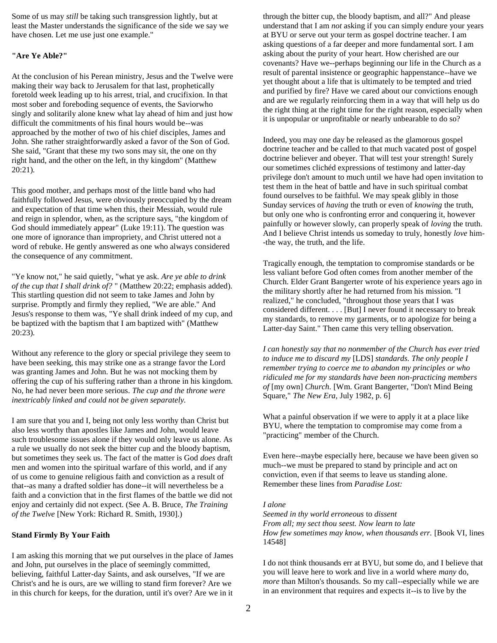Some of us may *still* be taking such transgression lightly, but at least the Master understands the significance of the side we say we have chosen. Let me use just one example."

## **"Are Ye Able?"**

At the conclusion of his Perean ministry, Jesus and the Twelve were making their way back to Jerusalem for that last, prophetically foretold week leading up to his arrest, trial, and crucifixion. In that most sober and foreboding sequence of events, the Saviorwho singly and solitarily alone knew what lay ahead of him and just how difficult the commitments of his final hours would be--was approached by the mother of two of his chief disciples, James and John. She rather straightforwardly asked a favor of the Son of God. She said, "Grant that these my two sons may sit, the one on thy right hand, and the other on the left, in thy kingdom" (Matthew 20:21).

This good mother, and perhaps most of the little band who had faithfully followed Jesus, were obviously preoccupied by the dream and expectation of that time when this, their Messiah, would rule and reign in splendor, when, as the scripture says, "the kingdom of God should immediately appear" (Luke 19:11). The question was one more of ignorance than impropriety, and Christ uttered not a word of rebuke. He gently answered as one who always considered the consequence of any commitment.

"Ye know not," he said quietly, "what ye ask. *Are ye able to drink of the cup that I shall drink of?* " (Matthew 20:22; emphasis added). This startling question did not seem to take James and John by surprise. Promptly and firmly they replied, "We are able." And Jesus's response to them was, "Ye shall drink indeed of my cup, and be baptized with the baptism that I am baptized with" (Matthew 20:23).

Without any reference to the glory or special privilege they seem to have been seeking, this may strike one as a strange favor the Lord was granting James and John. But he was not mocking them by offering the cup of his suffering rather than a throne in his kingdom. No, he had never been more serious. *The cup and the throne were inextricably linked and could not be given separately.*

I am sure that you and I, being not only less worthy than Christ but also less worthy than apostles like James and John, would leave such troublesome issues alone if they would only leave us alone. As a rule we usually do not seek the bitter cup and the bloody baptism, but sometimes they seek us. The fact of the matter is God *does* draft men and women into the spiritual warfare of this world, and if any of us come to genuine religious faith and conviction as a result of that--as many a drafted soldier has done--it will nevertheless be a faith and a conviction that in the first flames of the battle we did not enjoy and certainly did not expect. (See A. B. Bruce, *The Training of the Twelve* [New York: Richard R. Smith, 1930].)

### **Stand Firmly By Your Faith**

I am asking this morning that we put ourselves in the place of James and John, put ourselves in the place of seemingly committed, believing, faithful Latter-day Saints, and ask ourselves, "If we are Christ's and he is ours, are we willing to stand firm forever? Are we in this church for keeps, for the duration, until it's over? Are we in it

through the bitter cup, the bloody baptism, and all?" And please understand that I am *not* asking if you can simply endure your years at BYU or serve out your term as gospel doctrine teacher. I am asking questions of a far deeper and more fundamental sort. I am asking about the purity of your heart. How cherished are our covenants? Have we--perhaps beginning our life in the Church as a result of parental insistence or geographic happenstance--have we yet thought about a life that is ultimately to be tempted and tried and purified by fire? Have we cared about our convictions enough and are we regularly reinforcing them in a way that will help us do the right thing at the right time for the right reason, especially when it is unpopular or unprofitable or nearly unbearable to do so?

Indeed, you may one day be released as the glamorous gospel doctrine teacher and be called to that much vacated post of gospel doctrine believer and obeyer. That will test your strength! Surely our sometimes clichéd expressions of testimony and latter-day privilege don't amount to much until we have had open invitation to test them in the heat of battle and have in such spiritual combat found ourselves to be faithful. We may speak glibly in those Sunday services of *having* the truth or even of *knowing* the truth, but only one who is confronting error and conquering it, however painfully or however slowly, can properly speak of *loving* the truth. And I believe Christ intends us someday to truly, honestly *love* him- -the way, the truth, and the life.

Tragically enough, the temptation to compromise standards or be less valiant before God often comes from another member of the Church. Elder Grant Bangerter wrote of his experience years ago in the military shortly after he had returned from his mission. "I realized," he concluded, "throughout those years that I was considered different. . . . [But] I never found it necessary to break my standards, to remove my garments, or to apologize for being a Latter-day Saint." Then came this very telling observation.

*I can honestly say that no nonmember of the Church has ever tried to induce me to discard my* [LDS] *standards. The only people I remember trying to coerce me to abandon my principles or who ridiculed me for my standards have been non-practicing members of* [my own] *Church.* [Wm. Grant Bangerter, "Don't Mind Being Square," *The New Era,* July 1982, p. 6]

What a painful observation if we were to apply it at a place like BYU, where the temptation to compromise may come from a "practicing" member of the Church.

Even here--maybe especially here, because we have been given so much--we must be prepared to stand by principle and act on conviction, even if that seems to leave us standing alone. Remember these lines from *Paradise Lost:*

### *I alone*

*Seemed in thy world erroneous* to *dissent From all; my sect thou seest. Now learn to late How few sometimes may know, when thousands err.* [Book VI, lines] 14548]

I do not think thousands err at BYU, but some do, and I believe that you will leave here to work and live in a world where *many* do, *more* than Milton's thousands. So my call--especially while we are in an environment that requires and expects it--is to live by the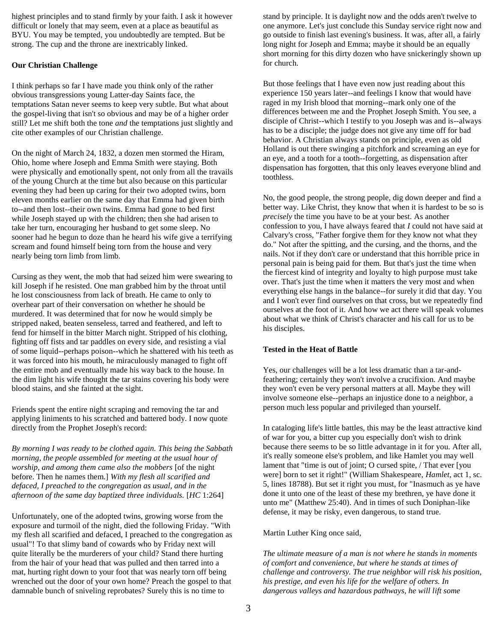highest principles and to stand firmly by your faith. I ask it however difficult or lonely that may seem, even at a place as beautiful as BYU. You may be tempted, you undoubtedly are tempted. But be strong. The cup and the throne are inextricably linked.

## **Our Christian Challenge**

I think perhaps so far I have made you think only of the rather obvious transgressions young Latter-day Saints face, the temptations Satan never seems to keep very subtle. But what about the gospel-living that isn't so obvious and may be of a higher order still? Let me shift both the tone *and* the temptations just slightly and cite other examples of our Christian challenge.

On the night of March 24, 1832, a dozen men stormed the Hiram, Ohio, home where Joseph and Emma Smith were staying. Both were physically and emotionally spent, not only from all the travails of the young Church at the time but also because on this particular evening they had been up caring for their two adopted twins, born eleven months earlier on the same day that Emma had given birth to--and then lost--their own twins. Emma had gone to bed first while Joseph stayed up with the children; then she had arisen to take her turn, encouraging her husband to get some sleep. No sooner had he begun to doze than he heard his wife give a terrifying scream and found himself being torn from the house and very nearly being torn limb from limb.

Cursing as they went, the mob that had seized him were swearing to kill Joseph if he resisted. One man grabbed him by the throat until he lost consciousness from lack of breath. He came to only to overhear part of their conversation on whether he should be murdered. It was determined that for now he would simply be stripped naked, beaten senseless, tarred and feathered, and left to fend for himself in the bitter March night. Stripped of his clothing, fighting off fists and tar paddles on every side, and resisting a vial of some liquid--perhaps poison--which he shattered with his teeth as it was forced into his mouth, he miraculously managed to fight off the entire mob and eventually made his way back to the house. In the dim light his wife thought the tar stains covering his body were blood stains, and she fainted at the sight.

Friends spent the entire night scraping and removing the tar and applying liniments to his scratched and battered body. I now quote directly from the Prophet Joseph's record:

*By morning I was ready to be clothed again. This being the Sabbath morning, the people assembled for meeting at the usual hour of worship, and among them came also the mobbers* [of the night before. Then he names them.] *With my flesh all scarified and defaced, I preached to the congregation as usual, and in the afternoon of the same day baptized three individuals.* [*HC* 1:264]

Unfortunately, one of the adopted twins, growing worse from the exposure and turmoil of the night, died the following Friday. "With my flesh all scarified and defaced, I preached to the congregation as usual"! To that slimy band of cowards who by Friday next will quite literally be the murderers of your child? Stand there hurting from the hair of your head that was pulled and then tarred into a mat, hurting right down to your foot that was nearly torn off being wrenched out the door of your own home? Preach the gospel to that damnable bunch of sniveling reprobates? Surely this is no time to

stand by principle. It is daylight now and the odds aren't twelve to one anymore. Let's just conclude this Sunday service right now and go outside to finish last evening's business. It was, after all, a fairly long night for Joseph and Emma; maybe it should be an equally short morning for this dirty dozen who have snickeringly shown up for church.

But those feelings that I have even now just reading about this experience 150 years later--and feelings I know that would have raged in my Irish blood that morning--mark only one of the differences between me and the Prophet Joseph Smith. You see, a disciple of Christ--which I testify to you Joseph was and is--always has to be a disciple; the judge does not give any time off for bad behavior. A Christian always stands on principle, even as old Holland is out there swinging a pitchfork and screaming an eye for an eye, and a tooth for a tooth--forgetting, as dispensation after dispensation has forgotten, that this only leaves everyone blind and toothless.

No, the good people, the strong people, dig down deeper and find a better way. Like Christ, they know that when it is hardest to be so is *precisely* the time you have to be at your best. As another confession to you, I have always feared that *I* could not have said at Calvary's cross, "Father forgive them for they know not what they do." Not after the spitting, and the cursing, and the thorns, and the nails. Not if they don't care or understand that this horrible price in personal pain is being paid for them. But that's just the time when the fiercest kind of integrity and loyalty to high purpose must take over. That's just the time when it matters the very most and when everything else hangs in the balance--for surely it did that day. You and I won't ever find ourselves on that cross, but we repeatedly find ourselves at the foot of it. And how we act there will speak volumes about what we think of Christ's character and his call for us to be his disciples.

# **Tested in the Heat of Battle**

Yes, our challenges will be a lot less dramatic than a tar-andfeathering; certainly they won't involve a crucifixion. And maybe they won't even be very personal matters at all. Maybe they will involve someone else--perhaps an injustice done to a neighbor, a person much less popular and privileged than yourself.

In cataloging life's little battles, this may be the least attractive kind of war for you, a bitter cup you especially don't wish to drink because there seems to be so little advantage in it for you. After all, it's really someone else's problem, and like Hamlet you may well lament that "time is out of joint; O cursed spite, / That ever [you were] born to set it right!" (William Shakespeare, *Hamlet,* act 1, sc. 5, lines 18788). But set it right you must, for "Inasmuch as ye have done it unto one of the least of these my brethren, ye have done it unto me" (Matthew 25:40). And in times of such Doniphan-like defense, it may be risky, even dangerous, to stand true.

Martin Luther King once said,

*The ultimate measure of a man is not where he stands in moments of comfort and convenience, but where he stands at times of challenge and controversy. The true neighbor will risk his position, his prestige, and even his life for the welfare of others. In dangerous valleys and hazardous pathways, he will lift some*